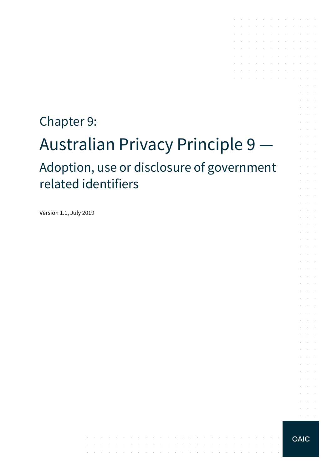# Chapter 9: Australian Privacy Principle 9 — Adoption, use or disclosure of government related identifiers

the contract of the contract of the contract of

contract and contract

والمتواطن والمتعارف والمتعارف والمتعارف والمتعارف والمتعارف والمتعارف والمتعارف

Version 1.1, July 2019



 $\alpha = \alpha + \beta$ 

the contract of the contract of the contract of

and a series of the contract of the series of  $\mathcal{A}$  . The contribution of the contribution of  $\mathcal{A}$ 

the control of the conthe control of the control of the contract of the contract of the and a straightful control of the state and a series of the contract of the and the state of the

 $\alpha$  and  $\alpha$ 

and a state

 $\mathcal{L}^{\text{max}}$ 

 $\sim$  $\alpha$  and  $\alpha$ 

 $\alpha$  and  $\alpha$ 

 $\Delta \sim 10^{-1}$  $\Delta \sim 100$ 

 $\alpha$  and  $\alpha$ **Service** 

 $\alpha=1$  .  $\mathcal{L}^{\text{max}}$  .

 $\mathcal{L}^{\text{max}}$ 

 $\sim$ 

 $\sim$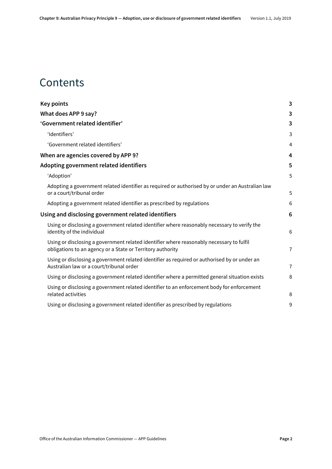### **Contents**

| Key points                                                                                                                                             | 3              |
|--------------------------------------------------------------------------------------------------------------------------------------------------------|----------------|
| What does APP 9 say?                                                                                                                                   | 3              |
| 'Government related identifier'                                                                                                                        | 3              |
| 'Identifiers'                                                                                                                                          | 3              |
| 'Government related identifiers'                                                                                                                       | 4              |
| When are agencies covered by APP 9?                                                                                                                    | 4              |
| Adopting government related identifiers                                                                                                                | 5              |
| 'Adoption'                                                                                                                                             | 5              |
| Adopting a government related identifier as required or authorised by or under an Australian law<br>or a court/tribunal order                          | 5              |
| Adopting a government related identifier as prescribed by regulations                                                                                  | 6              |
| Using and disclosing government related identifiers                                                                                                    | 6              |
| Using or disclosing a government related identifier where reasonably necessary to verify the<br>identity of the individual                             | 6              |
| Using or disclosing a government related identifier where reasonably necessary to fulfil<br>obligations to an agency or a State or Territory authority | $\overline{7}$ |
| Using or disclosing a government related identifier as required or authorised by or under an<br>Australian law or a court/tribunal order               | $\overline{7}$ |
| Using or disclosing a government related identifier where a permitted general situation exists                                                         | 8              |
| Using or disclosing a government related identifier to an enforcement body for enforcement<br>related activities                                       | 8              |
| Using or disclosing a government related identifier as prescribed by regulations                                                                       | 9              |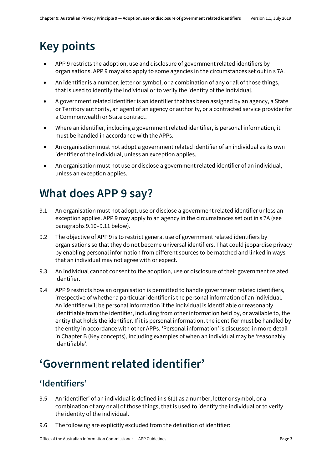# <span id="page-2-0"></span>**Key points**

- APP 9 restricts the adoption, use and disclosure of government related identifiers by organisations. APP 9 may also apply to some agencies in the circumstances set out in s 7A.
- An identifier is a number, letter or symbol, or a combination of any or all of those things, that is used to identify the individual or to verify the identity of the individual.
- A government related identifier is an identifier that has been assigned by an agency, a State or Territory authority, an agent of an agency or authority, or a contracted service provider for a Commonwealth or State contract.
- Where an identifier, including a government related identifier, is personal information, it must be handled in accordance with the APPs.
- An organisation must not adopt a government related identifier of an individual as its own identifier of the individual, unless an exception applies.
- An organisation must not use or disclose a government related identifier of an individual, unless an exception applies.

# <span id="page-2-1"></span>**What does APP 9 say?**

- 9.1 An organisation must not adopt, use or disclose a government related identifier unless an exception applies. APP 9 may apply to an agency in the circumstances set out in s 7A (see paragraphs [9.10](#page-3-2)[–9.11](#page-3-3) below).
- 9.2 The objective of APP 9 is to restrict general use of government related identifiers by organisations so that they do not become universal identifiers. That could jeopardise privacy by enabling personal information from different sources to be matched and linked in ways that an individual may not agree with or expect.
- 9.3 An individual cannot consent to the adoption, use or disclosure of their government related identifier.
- <span id="page-2-4"></span>9.4 APP 9 restricts how an organisation is permitted to handle government related identifiers, irrespective of whether a particular identifier is the personal information of an individual. An identifier will be personal information if the individual is identifiable or reasonably identifiable from the identifier, including from other information held by, or available to, the entity that holds the identifier. If it is personal information, the identifier must be handled by the entity in accordance with other APPs. 'Personal information' is discussed in more detail in Chapter B (Key concepts), including examples of when an individual may be 'reasonably identifiable'.

# <span id="page-2-2"></span>**'Government related identifier'**

#### <span id="page-2-3"></span>**'Identifiers'**

- 9.5 An 'identifier' of an individual is defined in s 6(1) as a number, letter or symbol, or a combination of any or all of those things, that is used to identify the individual or to verify the identity of the individual.
- 9.6 The following are explicitly excluded from the definition of identifier: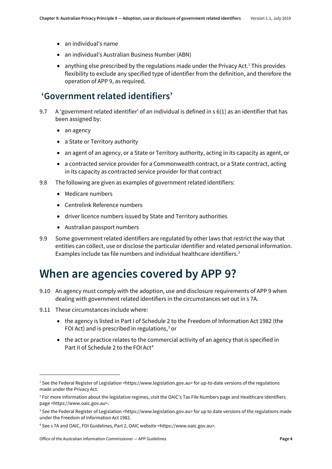- an individual's name
- an individual's Australian Business Number (ABN)
- anything else prescribed by the regulations made under the Privacy Act.<sup>[1](#page-3-4)</sup> This provides flexibility to exclude any specified type of identifier from the definition, and therefore the operation of APP 9, as required.

#### <span id="page-3-0"></span>**'Government related identifiers'**

- 9.7 A 'government related identifier' of an individual is defined in s 6(1) as an identifier that has been assigned by:
	- an agency
	- a State or Territory authority
	- an agent of an agency, or a State or Territory authority, acting in its capacity as agent, or
	- a contracted service provider for a Commonwealth contract, or a State contract, acting in its capacity as contracted service provider for that contract
- 9.8 The following are given as examples of government related identifiers:
	- Medicare numbers
	- Centrelink Reference numbers
	- driver licence numbers issued by State and Territory authorities
	- Australian passport numbers
- 9.9 Some government related identifiers are regulated by other laws that restrict the way that entities can collect, use or disclose the particular identifier and related personal information. Examples include tax file numbers and individual healthcare identifiers. [2](#page-3-5)

### <span id="page-3-1"></span>**When are agencies covered by APP 9?**

- <span id="page-3-2"></span>9.10 An agency must comply with the adoption, use and disclosure requirements of APP 9 when dealing with government related identifiers in the circumstances set out in s 7A.
- <span id="page-3-3"></span>9.11 These circumstances include where:

**.** 

- the agency is listed in Part I of Schedule 2 to the Freedom of Information Act 1982 (the FOI Act) and is prescribed in regulations, $3$  or
- the act or practice relates to the commercial activity of an agency that is specified in Part II of Schedule 2 to the FOI Act[4](#page-3-7)

<span id="page-3-4"></span><sup>&</sup>lt;sup>1</sup> See the Federal Register of Legislation <https://www.legislation.gov.au> for up-to-date versions of the regulations made under the Privacy Act.

<span id="page-3-5"></span><sup>&</sup>lt;sup>2</sup> For more information about the legislative regimes, visit the OAIC's Tax File Numbers page and Healthcare Identifiers page <https://www.oaic.gov.au>.

<span id="page-3-6"></span><sup>&</sup>lt;sup>3</sup> See the Federal Register of Legislation <https://www.legislation.gov.au> for up to date versions of the regulations made under the Freedom of Information Act 1982.

<span id="page-3-7"></span><sup>4</sup> See s 7A and OAIC, FOI Guidelines, Part 2, OAIC website <https://www.oaic.gov.au>.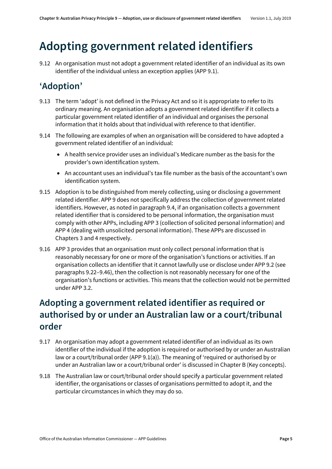# <span id="page-4-0"></span>**Adopting government related identifiers**

9.12 An organisation must not adopt a government related identifier of an individual as its own identifier of the individual unless an exception applies (APP 9.1).

#### <span id="page-4-1"></span>**'Adoption'**

- 9.13 The term 'adopt' is not defined in the Privacy Act and so it is appropriate to refer to its ordinary meaning. An organisation adopts a government related identifier if it collects a particular government related identifier of an individual and organises the personal information that it holds about that individual with reference to that identifier.
- 9.14 The following are examples of when an organisation will be considered to have adopted a government related identifier of an individual:
	- A health service provider uses an individual's Medicare number as the basis for the provider's own identification system.
	- An accountant uses an individual's tax file number as the basis of the accountant's own identification system.
- 9.15 Adoption is to be distinguished from merely collecting, using or disclosing a government related identifier. APP 9 does not specifically address the collection of government related identifiers. However, as noted in paragrap[h 9.4,](#page-2-4) if an organisation collects a government related identifier that is considered to be personal information, the organisation must comply with other APPs, including APP 3 (collection of solicited personal information) and APP 4 (dealing with unsolicited personal information). These APPs are discussed in Chapters 3 and 4 respectively.
- 9.16 APP 3 provides that an organisation must only collect personal information that is reasonably necessary for one or more of the organisation's functions or activities. If an organisation collects an identifier that it cannot lawfully use or disclose under APP 9.2 (see paragraphs [9.22](#page-5-3)[–9.46\)](#page-8-1), then the collection is not reasonably necessary for one of the organisation's functions or activities. This means that the collection would not be permitted under APP 3.2.

#### <span id="page-4-2"></span>**Adopting a government related identifier as required or authorised by or under an Australian law or a court/tribunal order**

- 9.17 An organisation may adopt a government related identifier of an individual as its own identifier of the individual if the adoption is required or authorised by or under an Australian law or a court/tribunal order (APP 9.1(a)). The meaning of 'required or authorised by or under an Australian law or a court/tribunal order' is discussed in Chapter B (Key concepts).
- 9.18 The Australian law or court/tribunal order should specify a particular government related identifier, the organisations or classes of organisations permitted to adopt it, and the particular circumstances in which they may do so.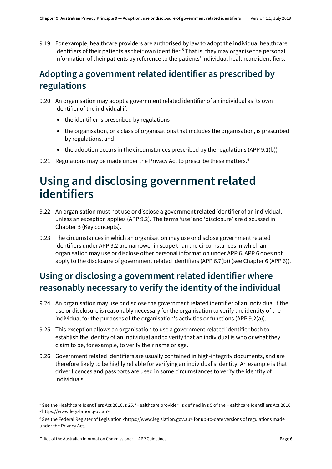9.19 For example, healthcare providers are authorised by law to adopt the individual healthcare identifiers of their patients as their own identifier.<sup>[5](#page-5-4)</sup> That is, they may organise the personal information of their patients by reference to the patients' individual healthcare identifiers.

#### <span id="page-5-0"></span>**Adopting a government related identifier as prescribed by regulations**

- 9.20 An organisation may adopt a government related identifier of an individual as its own identifier of the individual if:
	- the identifier is prescribed by regulations
	- the organisation, or a class of organisations that includes the organisation, is prescribed by regulations, and
	- $\bullet$  the adoption occurs in the circumstances prescribed by the regulations (APP 9.1(b))
- 9.21 Regulations may be made under the Privacy Act to prescribe these matters.<sup>[6](#page-5-5)</sup>

## <span id="page-5-1"></span>**Using and disclosing government related identifiers**

- <span id="page-5-3"></span>9.22 An organisation must not use or disclose a government related identifier of an individual, unless an exception applies (APP 9.2). The terms 'use' and 'disclosure' are discussed in Chapter B (Key concepts).
- 9.23 The circumstances in which an organisation may use or disclose government related identifiers under APP 9.2 are narrower in scope than the circumstances in which an organisation may use or disclose other personal information under APP 6. APP 6 does not apply to the disclosure of government related identifiers (APP 6.7(b)) (see Chapter 6 (APP 6)).

#### <span id="page-5-2"></span>**Using or disclosing a government related identifier where reasonably necessary to verify the identity of the individual**

- 9.24 An organisation may use or disclose the government related identifier of an individual if the use or disclosure is reasonably necessary for the organisation to verify the identity of the individual for the purposes of the organisation's activities or functions (APP 9.2(a)).
- 9.25 This exception allows an organisation to use a government related identifier both to establish the identity of an individual and to verify that an individual is who or what they claim to be, for example, to verify their name or age.
- 9.26 Government related identifiers are usually contained in high-integrity documents, and are therefore likely to be highly reliable for verifying an individual's identity. An example is that driver licences and passports are used in some circumstances to verify the identity of individuals.

 $\overline{a}$ 

<span id="page-5-4"></span><sup>5</sup> See the Healthcare Identifiers Act 2010, s 25. 'Healthcare provider' is defined in s 5 of the Healthcare Identifiers Act 2010 <https://www.legislation.gov.au>.

<span id="page-5-5"></span><sup>6</sup> See the Federal Register of Legislation <https://www.legislation.gov.au> for up-to-date versions of regulations made under the Privacy Act.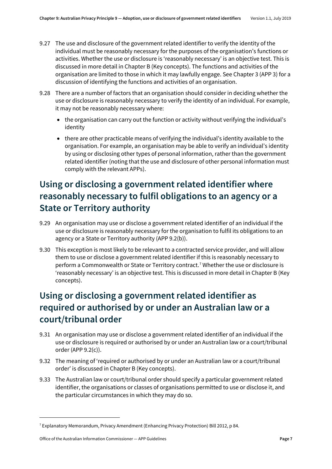- 9.27 The use and disclosure of the government related identifier to verify the identity of the individual must be reasonably necessary for the purposes of the organisation's functions or activities. Whether the use or disclosure is 'reasonably necessary' is an objective test. This is discussed in more detail in Chapter B (Key concepts). The functions and activities of the organisation are limited to those in which it may lawfully engage. See Chapter 3 (APP 3) for a discussion of identifying the functions and activities of an organisation.
- 9.28 There are a number of factors that an organisation should consider in deciding whether the use or disclosure is reasonably necessary to verify the identity of an individual. For example, it may not be reasonably necessary where:
	- the organisation can carry out the function or activity without verifying the individual's identity
	- there are other practicable means of verifying the individual's identity available to the organisation. For example, an organisation may be able to verify an individual's identity by using or disclosing other types of personal information, rather than the government related identifier (noting that the use and disclosure of other personal information must comply with the relevant APPs).

#### <span id="page-6-0"></span>**Using or disclosing a government related identifier where reasonably necessary to fulfil obligations to an agency or a State or Territory authority**

- 9.29 An organisation may use or disclose a government related identifier of an individual if the use or disclosure is reasonably necessary for the organisation to fulfil its obligations to an agency or a State or Territory authority (APP 9.2(b)).
- 9.30 This exception is most likely to be relevant to a contracted service provider, and will allow them to use or disclose a government related identifier if this is reasonably necessary to perform a Commonwealth or State or Territory contract.<sup>[7](#page-6-2)</sup> Whether the use or disclosure is 'reasonably necessary' is an objective test. This is discussed in more detail in Chapter B (Key concepts).

#### <span id="page-6-1"></span>**Using or disclosing a government related identifier as required or authorised by or under an Australian law or a court/tribunal order**

- 9.31 An organisation may use or disclose a government related identifier of an individual if the use or disclosure is required or authorised by or under an Australian law or a court/tribunal order (APP 9.2(c)).
- 9.32 The meaning of 'required or authorised by or under an Australian law or a court/tribunal order' is discussed in Chapter B (Key concepts).
- 9.33 The Australian law or court/tribunal order should specify a particular government related identifier, the organisations or classes of organisations permitted to use or disclose it, and the particular circumstances in which they may do so.

1

<span id="page-6-2"></span><sup>7</sup> Explanatory Memorandum, Privacy Amendment (Enhancing Privacy Protection) Bill 2012, p 84.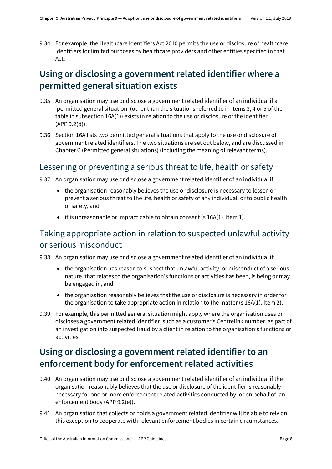9.34 For example, the Healthcare Identifiers Act 2010 permits the use or disclosure of healthcare identifiers for limited purposes by healthcare providers and other entities specified in that Act.

#### <span id="page-7-0"></span>**Using or disclosing a government related identifier where a permitted general situation exists**

- 9.35 An organisation may use or disclose a government related identifier of an individual if a 'permitted general situation' (other than the situations referred to in Items 3, 4 or 5 of the table in subsection 16A(1)) exists in relation to the use or disclosure of the identifier (APP 9.2(d)).
- 9.36 Section 16A lists two permitted general situations that apply to the use or disclosure of government related identifiers. The two situations are set out below, and are discussed in Chapter C (Permitted general situations) (including the meaning of relevant terms).

#### Lessening or preventing a serious threat to life, health or safety

- 9.37 An organisation may use or disclose a government related identifier of an individual if:
	- the organisation reasonably believes the use or disclosure is necessary to lessen or prevent a serious threat to the life, health or safety of any individual, or to public health or safety, and
	- it is unreasonable or impracticable to obtain consent (s 16A(1), Item 1).

#### Taking appropriate action in relation to suspected unlawful activity or serious misconduct

- 9.38 An organisation may use or disclose a government related identifier of an individual if:
	- the organisation has reason to suspect that unlawful activity, or misconduct of a serious nature, that relates to the organisation's functions or activities has been, is being or may be engaged in, and
	- the organisation reasonably believes that the use or disclosure is necessary in order for the organisation to take appropriate action in relation to the matter (s 16A(1), Item 2).
- 9.39 For example, this permitted general situation might apply where the organisation uses or discloses a government related identifier, such as a customer's Centrelink number, as part of an investigation into suspected fraud by a client in relation to the organisation's functions or activities.

#### <span id="page-7-1"></span>**Using or disclosing a government related identifier to an enforcement body for enforcement related activities**

- 9.40 An organisation may use or disclose a government related identifier of an individual if the organisation reasonably believes that the use or disclosure of the identifier is reasonably necessary for one or more enforcement related activities conducted by, or on behalf of, an enforcement body (APP 9.2(e)).
- 9.41 An organisation that collects or holds a government related identifier will be able to rely on this exception to cooperate with relevant enforcement bodies in certain circumstances.